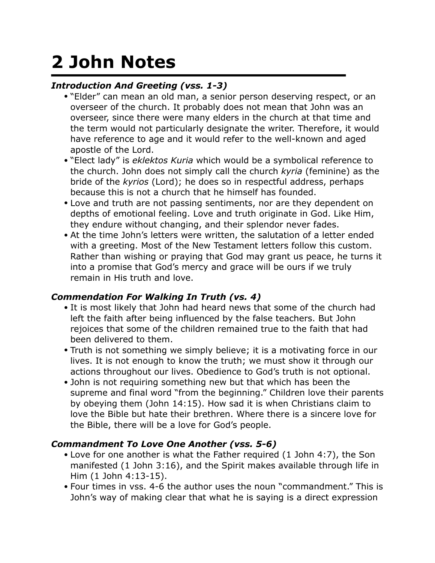# **2 John Notes**

# *Introduction And Greeting (vss. 1-3)*

- "Elder" can mean an old man, a senior person deserving respect, or an overseer of the church. It probably does not mean that John was an overseer, since there were many elders in the church at that time and the term would not particularly designate the writer. Therefore, it would have reference to age and it would refer to the well-known and aged apostle of the Lord.
- "Elect lady" is *eklektos Kuria* which would be a symbolical reference to the church. John does not simply call the church *kyria* (feminine) as the bride of the *kyrios* (Lord); he does so in respectful address, perhaps because this is not a church that he himself has founded.
- Love and truth are not passing sentiments, nor are they dependent on depths of emotional feeling. Love and truth originate in God. Like Him, they endure without changing, and their splendor never fades.
- At the time John's letters were written, the salutation of a letter ended with a greeting. Most of the New Testament letters follow this custom. Rather than wishing or praying that God may grant us peace, he turns it into a promise that God's mercy and grace will be ours if we truly remain in His truth and love.

# *Commendation For Walking In Truth (vs. 4)*

- It is most likely that John had heard news that some of the church had left the faith after being influenced by the false teachers. But John rejoices that some of the children remained true to the faith that had been delivered to them.
- Truth is not something we simply believe; it is a motivating force in our lives. It is not enough to know the truth; we must show it through our actions throughout our lives. Obedience to God's truth is not optional.
- John is not requiring something new but that which has been the supreme and final word "from the beginning." Children love their parents by obeying them (John 14:15). How sad it is when Christians claim to love the Bible but hate their brethren. Where there is a sincere love for the Bible, there will be a love for God's people.

# *Commandment To Love One Another (vss. 5-6)*

- Love for one another is what the Father required (1 John 4:7), the Son manifested (1 John 3:16), and the Spirit makes available through life in Him (1 John 4:13-15).
- Four times in vss. 4-6 the author uses the noun "commandment." This is John's way of making clear that what he is saying is a direct expression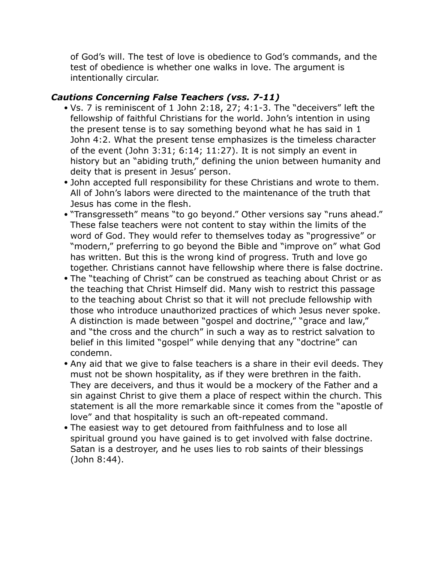of God's will. The test of love is obedience to God's commands, and the test of obedience is whether one walks in love. The argument is intentionally circular.

### *Cautions Concerning False Teachers (vss. 7-11)*

- Vs. 7 is reminiscent of 1 John 2:18, 27; 4:1-3. The "deceivers" left the fellowship of faithful Christians for the world. John's intention in using the present tense is to say something beyond what he has said in 1 John 4:2. What the present tense emphasizes is the timeless character of the event (John 3:31; 6:14; 11:27). It is not simply an event in history but an "abiding truth," defining the union between humanity and deity that is present in Jesus' person.
- John accepted full responsibility for these Christians and wrote to them. All of John's labors were directed to the maintenance of the truth that Jesus has come in the flesh.
- "Transgresseth" means "to go beyond." Other versions say "runs ahead." These false teachers were not content to stay within the limits of the word of God. They would refer to themselves today as "progressive" or "modern," preferring to go beyond the Bible and "improve on" what God has written. But this is the wrong kind of progress. Truth and love go together. Christians cannot have fellowship where there is false doctrine.
- The "teaching of Christ" can be construed as teaching about Christ or as the teaching that Christ Himself did. Many wish to restrict this passage to the teaching about Christ so that it will not preclude fellowship with those who introduce unauthorized practices of which Jesus never spoke. A distinction is made between "gospel and doctrine," "grace and law," and "the cross and the church" in such a way as to restrict salvation to belief in this limited "gospel" while denying that any "doctrine" can condemn.
- Any aid that we give to false teachers is a share in their evil deeds. They must not be shown hospitality, as if they were brethren in the faith. They are deceivers, and thus it would be a mockery of the Father and a sin against Christ to give them a place of respect within the church. This statement is all the more remarkable since it comes from the "apostle of love" and that hospitality is such an oft-repeated command.
- The easiest way to get detoured from faithfulness and to lose all spiritual ground you have gained is to get involved with false doctrine. Satan is a destroyer, and he uses lies to rob saints of their blessings (John 8:44).